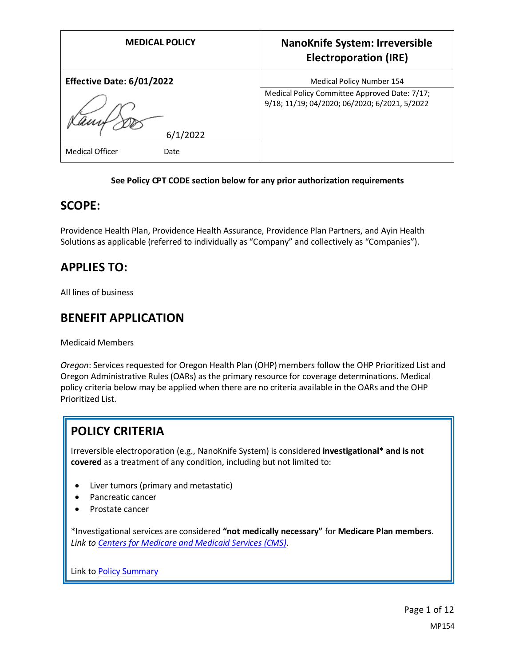| <b>MEDICAL POLICY</b>          | <b>NanoKnife System: Irreversible</b><br><b>Electroporation (IRE)</b>                          |
|--------------------------------|------------------------------------------------------------------------------------------------|
| Effective Date: 6/01/2022      | Medical Policy Number 154                                                                      |
|                                | Medical Policy Committee Approved Date: 7/17;<br>9/18; 11/19; 04/2020; 06/2020; 6/2021, 5/2022 |
| 6/1/2022                       |                                                                                                |
| <b>Medical Officer</b><br>Date |                                                                                                |

### **See Policy CPT CODE section below for any prior authorization requirements**

### **SCOPE:**

Providence Health Plan, Providence Health Assurance, Providence Plan Partners, and Ayin Health Solutions as applicable (referred to individually as "Company" and collectively as "Companies").

### **APPLIES TO:**

All lines of business

### **BENEFIT APPLICATION**

Medicaid Members

*Oregon*: Services requested for Oregon Health Plan (OHP) members follow the OHP Prioritized List and Oregon Administrative Rules (OARs) as the primary resource for coverage determinations. Medical policy criteria below may be applied when there are no criteria available in the OARs and the OHP Prioritized List.

## **POLICY CRITERIA**

Irreversible electroporation (e.g., NanoKnife System) is considered **investigational\* and is not covered** as a treatment of any condition, including but not limited to:

- Liver tumors (primary and metastatic)
- Pancreatic cancer
- Prostate cancer

\*Investigational services are considered **"not medically necessary"** for **Medicare Plan members**. *Link t[o Centers for Medicare and Medicaid Services \(CMS\)](#page-7-0)*.

Link t[o Policy Summary](#page-7-1)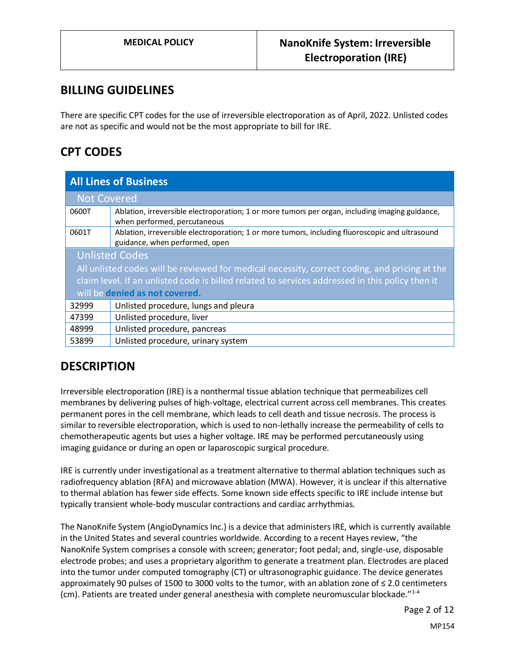### **BILLING GUIDELINES**

There are specific CPT codes for the use of irreversible electroporation as of April, 2022. Unlisted codes are not as specific and would not be the most appropriate to bill for IRE.

## **CPT CODES**

| <b>All Lines of Business</b>                                                                    |                                                                                                                                   |
|-------------------------------------------------------------------------------------------------|-----------------------------------------------------------------------------------------------------------------------------------|
| <b>Not Covered</b>                                                                              |                                                                                                                                   |
| 0600T                                                                                           | Ablation, irreversible electroporation; 1 or more tumors per organ, including imaging guidance,<br>when performed, percutaneous   |
| 0601T                                                                                           | Ablation, irreversible electroporation; 1 or more tumors, including fluoroscopic and ultrasound<br>guidance, when performed, open |
| <b>Unlisted Codes</b>                                                                           |                                                                                                                                   |
| All unlisted codes will be reviewed for medical necessity, correct coding, and pricing at the   |                                                                                                                                   |
| claim level. If an unlisted code is billed related to services addressed in this policy then it |                                                                                                                                   |
| will be denied as not covered.                                                                  |                                                                                                                                   |
| 32999                                                                                           | Unlisted procedure, lungs and pleura                                                                                              |
| 47399                                                                                           | Unlisted procedure, liver                                                                                                         |
| 48999                                                                                           | Unlisted procedure, pancreas                                                                                                      |
| 53899                                                                                           | Unlisted procedure, urinary system                                                                                                |

## **DESCRIPTION**

Irreversible electroporation (IRE) is a nonthermal tissue ablation technique that permeabilizes cell membranes by delivering pulses of high-voltage, electrical current across cell membranes. This creates permanent pores in the cell membrane, which leads to cell death and tissue necrosis. The process is similar to reversible electroporation, which is used to non-lethally increase the permeability of cells to chemotherapeutic agents but uses a higher voltage. IRE may be performed percutaneously using imaging guidance or during an open or laparoscopic surgical procedure.

IRE is currently under investigational as a treatment alternative to thermal ablation techniques such as radiofrequency ablation (RFA) and microwave ablation (MWA). However, it is unclear if this alternative to thermal ablation has fewer side effects. Some known side effects specific to IRE include intense but typically transient whole-body muscular contractions and cardiac arrhythmias.

The NanoKnife System (AngioDynamics Inc.) is a device that administers IRE, which is currently available in the United States and several countries worldwide. According to a recent Hayes review, "the NanoKnife System comprises a console with screen; generator; foot pedal; and, single-use, disposable electrode probes; and uses a proprietary algorithm to generate a treatment plan. Electrodes are placed into the tumor under computed tomography (CT) or ultrasonographic guidance. The device generates approximately 90 pulses of 1500 to 3000 volts to the tumor, with an ablation zone of ≤ 2.0 centimeters (cm). Patients are treated under general anesthesia with complete neuromuscular blockade."<sup>1-4</sup>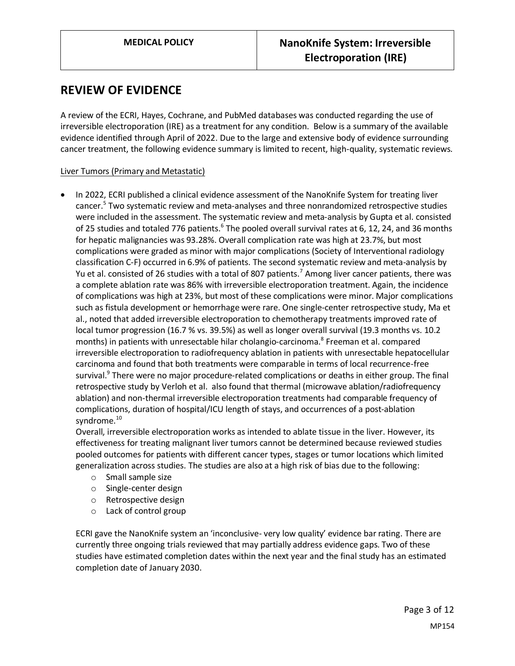### **REVIEW OF EVIDENCE**

A review of the ECRI, Hayes, Cochrane, and PubMed databases was conducted regarding the use of irreversible electroporation (IRE) as a treatment for any condition. Below is a summary of the available evidence identified through April of 2022. Due to the large and extensive body of evidence surrounding cancer treatment, the following evidence summary is limited to recent, high-quality, systematic reviews.

### Liver Tumors (Primary and Metastatic)

• In 2022, ECRI published a clinical evidence assessment of the NanoKnife System for treating liver cancer.<sup>5</sup> Two systematic review and meta-analyses and three nonrandomized retrospective studies were included in the assessment. The systematic review and meta-analysis by Gupta et al. consisted of 25 studies and totaled 776 patients.<sup>6</sup> The pooled overall survival rates at 6, 12, 24, and 36 months for hepatic malignancies was 93.28%. Overall complication rate was high at 23.7%, but most complications were graded as minor with major complications (Society of Interventional radiology classification C-F) occurred in 6.9% of patients. The second systematic review and meta-analysis by Yu et al. consisted of 26 studies with a total of 807 patients.<sup>7</sup> Among liver cancer patients, there was a complete ablation rate was 86% with irreversible electroporation treatment. Again, the incidence of complications was high at 23%, but most of these complications were minor. Major complications such as fistula development or hemorrhage were rare. One single-center retrospective study, Ma et al., noted that added irreversible electroporation to chemotherapy treatments improved rate of local tumor progression (16.7 % vs. 39.5%) as well as longer overall survival (19.3 months vs. 10.2 months) in patients with unresectable hilar cholangio-carcinoma. 8 Freeman et al. compared irreversible electroporation to radiofrequency ablation in patients with unresectable hepatocellular carcinoma and found that both treatments were comparable in terms of local recurrence-free survival.<sup>9</sup> There were no major procedure-related complications or deaths in either group. The final retrospective study by Verloh et al. also found that thermal (microwave ablation/radiofrequency ablation) and non-thermal irreversible electroporation treatments had comparable frequency of complications, duration of hospital/ICU length of stays, and occurrences of a post-ablation syndrome.<sup>10</sup>

Overall, irreversible electroporation works as intended to ablate tissue in the liver. However, its effectiveness for treating malignant liver tumors cannot be determined because reviewed studies pooled outcomes for patients with different cancer types, stages or tumor locations which limited generalization across studies. The studies are also at a high risk of bias due to the following:

- o Small sample size
- o Single-center design
- o Retrospective design
- o Lack of control group

ECRI gave the NanoKnife system an 'inconclusive- very low quality' evidence bar rating. There are currently three ongoing trials reviewed that may partially address evidence gaps. Two of these studies have estimated completion dates within the next year and the final study has an estimated completion date of January 2030.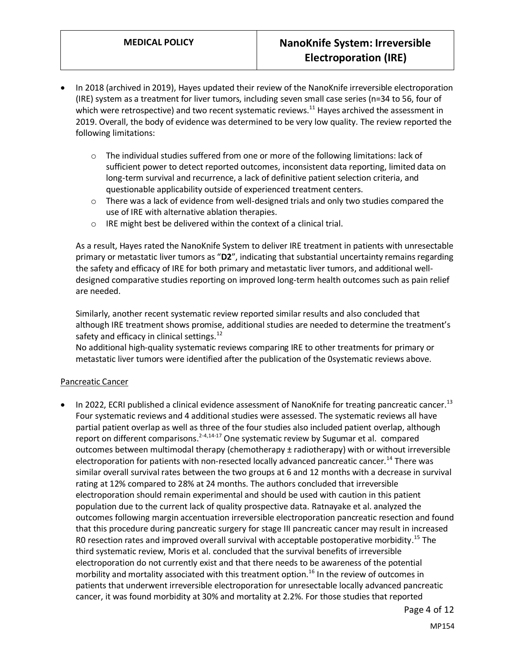- In 2018 (archived in 2019), Hayes updated their review of the NanoKnife irreversible electroporation (IRE) system as a treatment for liver tumors, including seven small case series (n=34 to 56, four of which were retrospective) and two recent systematic reviews.<sup>11</sup> Hayes archived the assessment in 2019. Overall, the body of evidence was determined to be very low quality. The review reported the following limitations:
	- $\circ$  The individual studies suffered from one or more of the following limitations: lack of sufficient power to detect reported outcomes, inconsistent data reporting, limited data on long-term survival and recurrence, a lack of definitive patient selection criteria, and questionable applicability outside of experienced treatment centers.
	- $\circ$  There was a lack of evidence from well-designed trials and only two studies compared the use of IRE with alternative ablation therapies.
	- o IRE might best be delivered within the context of a clinical trial.

As a result, Hayes rated the NanoKnife System to deliver IRE treatment in patients with unresectable primary or metastatic liver tumors as "**D2**", indicating that substantial uncertainty remains regarding the safety and efficacy of IRE for both primary and metastatic liver tumors, and additional welldesigned comparative studies reporting on improved long-term health outcomes such as pain relief are needed.

Similarly, another recent systematic review reported similar results and also concluded that although IRE treatment shows promise, additional studies are needed to determine the treatment's safety and efficacy in clinical settings. $12$ 

No additional high-quality systematic reviews comparing IRE to other treatments for primary or metastatic liver tumors were identified after the publication of the 0systematic reviews above.

### Pancreatic Cancer

• In 2022, ECRI published a clinical evidence assessment of NanoKnife for treating pancreatic cancer.<sup>13</sup> Four systematic reviews and 4 additional studies were assessed. The systematic reviews all have partial patient overlap as well as three of the four studies also included patient overlap, although report on different comparisons.<sup>2-4,14-17</sup> One systematic review by Sugumar et al. compared outcomes between multimodal therapy (chemotherapy  $\pm$  radiotherapy) with or without irreversible electroporation for patients with non-resected locally advanced pancreatic cancer.<sup>14</sup> There was similar overall survival rates between the two groups at 6 and 12 months with a decrease in survival rating at 12% compared to 28% at 24 months. The authors concluded that irreversible electroporation should remain experimental and should be used with caution in this patient population due to the current lack of quality prospective data. Ratnayake et al. analyzed the outcomes following margin accentuation irreversible electroporation pancreatic resection and found that this procedure during pancreatic surgery for stage III pancreatic cancer may result in increased R0 resection rates and improved overall survival with acceptable postoperative morbidity.<sup>15</sup> The third systematic review, Moris et al. concluded that the survival benefits of irreversible electroporation do not currently exist and that there needs to be awareness of the potential morbility and mortality associated with this treatment option.<sup>16</sup> In the review of outcomes in patients that underwent irreversible electroporation for unresectable locally advanced pancreatic cancer, it was found morbidity at 30% and mortality at 2.2%. For those studies that reported

Page 4 of 12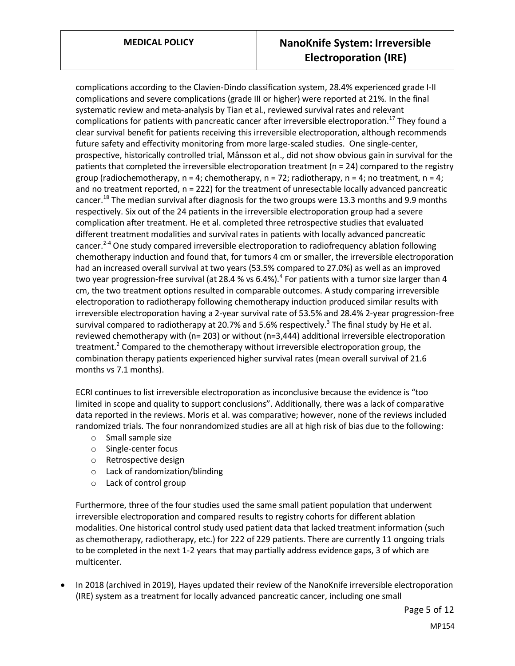complications according to the Clavien-Dindo classification system, 28.4% experienced grade I-II complications and severe complications (grade III or higher) were reported at 21%. In the final systematic review and meta-analysis by Tian et al., reviewed survival rates and relevant complications for patients with pancreatic cancer after irreversible electroporation.<sup>17</sup> They found a clear survival benefit for patients receiving this irreversible electroporation, although recommends future safety and effectivity monitoring from more large-scaled studies. One single-center, prospective, historically controlled trial, Månsson et al., did not show obvious gain in survival for the patients that completed the irreversible electroporation treatment (n = 24) compared to the registry group (radiochemotherapy,  $n = 4$ ; chemotherapy,  $n = 72$ ; radiotherapy,  $n = 4$ ; no treatment,  $n = 4$ ; and no treatment reported, n = 222) for the treatment of unresectable locally advanced pancreatic cancer.<sup>18</sup> The median survival after diagnosis for the two groups were 13.3 months and 9.9 months respectively. Six out of the 24 patients in the irreversible electroporation group had a severe complication after treatment. He et al. completed three retrospective studies that evaluated different treatment modalities and survival rates in patients with locally advanced pancreatic cancer.<sup>2-4</sup> One study compared irreversible electroporation to radiofrequency ablation following chemotherapy induction and found that, for tumors 4 cm or smaller, the irreversible electroporation had an increased overall survival at two years (53.5% compared to 27.0%) as well as an improved two year progression-free survival (at 28.4 % vs 6.4%).<sup>4</sup> For patients with a tumor size larger than 4 cm, the two treatment options resulted in comparable outcomes. A study comparing irreversible electroporation to radiotherapy following chemotherapy induction produced similar results with irreversible electroporation having a 2-year survival rate of 53.5% and 28.4% 2-year progression-free survival compared to radiotherapy at 20.7% and 5.6% respectively.<sup>3</sup> The final study by He et al. reviewed chemotherapy with (n= 203) or without (n=3,444) additional irreversible electroporation treatment.<sup>2</sup> Compared to the chemotherapy without irreversible electroporation group, the combination therapy patients experienced higher survival rates (mean overall survival of 21.6 months vs 7.1 months).

ECRI continues to list irreversible electroporation as inconclusive because the evidence is "too limited in scope and quality to support conclusions". Additionally, there was a lack of comparative data reported in the reviews. Moris et al. was comparative; however, none of the reviews included randomized trials. The four nonrandomized studies are all at high risk of bias due to the following:

- o Small sample size
- o Single-center focus
- o Retrospective design
- o Lack of randomization/blinding
- o Lack of control group

Furthermore, three of the four studies used the same small patient population that underwent irreversible electroporation and compared results to registry cohorts for different ablation modalities. One historical control study used patient data that lacked treatment information (such as chemotherapy, radiotherapy, etc.) for 222 of 229 patients. There are currently 11 ongoing trials to be completed in the next 1-2 years that may partially address evidence gaps, 3 of which are multicenter.

• In 2018 (archived in 2019), Hayes updated their review of the NanoKnife irreversible electroporation (IRE) system as a treatment for locally advanced pancreatic cancer, including one small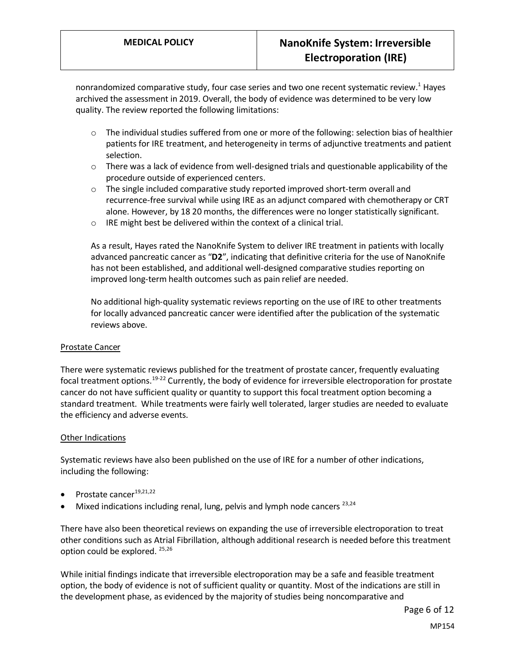nonrandomized comparative study, four case series and two one recent systematic review.<sup>1</sup> Hayes archived the assessment in 2019. Overall, the body of evidence was determined to be very low quality. The review reported the following limitations:

- $\circ$  The individual studies suffered from one or more of the following: selection bias of healthier patients for IRE treatment, and heterogeneity in terms of adjunctive treatments and patient selection.
- $\circ$  There was a lack of evidence from well-designed trials and questionable applicability of the procedure outside of experienced centers.
- $\circ$  The single included comparative study reported improved short-term overall and recurrence-free survival while using IRE as an adjunct compared with chemotherapy or CRT alone. However, by 18 20 months, the differences were no longer statistically significant.
- o IRE might best be delivered within the context of a clinical trial.

As a result, Hayes rated the NanoKnife System to deliver IRE treatment in patients with locally advanced pancreatic cancer as "**D2**", indicating that definitive criteria for the use of NanoKnife has not been established, and additional well-designed comparative studies reporting on improved long-term health outcomes such as pain relief are needed.

No additional high-quality systematic reviews reporting on the use of IRE to other treatments for locally advanced pancreatic cancer were identified after the publication of the systematic reviews above.

### Prostate Cancer

There were systematic reviews published for the treatment of prostate cancer, frequently evaluating focal treatment options.<sup>19-22</sup> Currently, the body of evidence for irreversible electroporation for prostate cancer do not have sufficient quality or quantity to support this focal treatment option becoming a standard treatment. While treatments were fairly well tolerated, larger studies are needed to evaluate the efficiency and adverse events.

### Other Indications

Systematic reviews have also been published on the use of IRE for a number of other indications, including the following:

- Prostate cancer<sup>19,21,22</sup>
- Mixed indications including renal, lung, pelvis and lymph node cancers  $^{23,24}$

There have also been theoretical reviews on expanding the use of irreversible electroporation to treat other conditions such as Atrial Fibrillation, although additional research is needed before this treatment option could be explored. 25,26

While initial findings indicate that irreversible electroporation may be a safe and feasible treatment option, the body of evidence is not of sufficient quality or quantity. Most of the indications are still in the development phase, as evidenced by the majority of studies being noncomparative and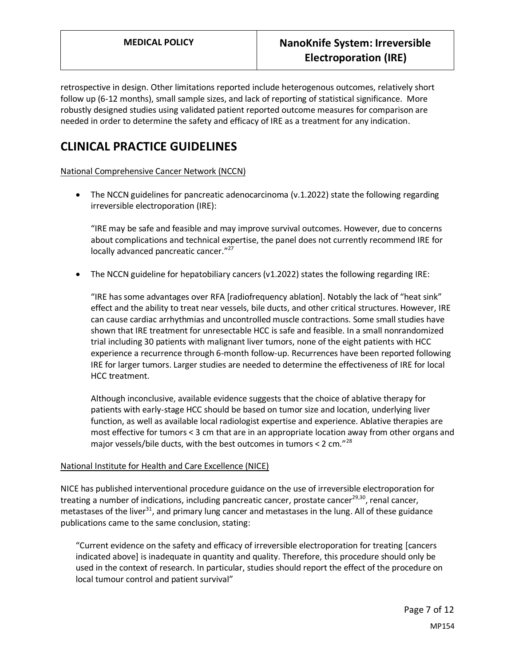retrospective in design. Other limitations reported include heterogenous outcomes, relatively short follow up (6-12 months), small sample sizes, and lack of reporting of statistical significance. More robustly designed studies using validated patient reported outcome measures for comparison are needed in order to determine the safety and efficacy of IRE as a treatment for any indication.

## **CLINICAL PRACTICE GUIDELINES**

National Comprehensive Cancer Network (NCCN)

• The NCCN guidelines for pancreatic adenocarcinoma (v.1.2022) state the following regarding irreversible electroporation (IRE):

"IRE may be safe and feasible and may improve survival outcomes. However, due to concerns about complications and technical expertise, the panel does not currently recommend IRE for locally advanced pancreatic cancer."<sup>27</sup>

• The NCCN guideline for hepatobiliary cancers (v1.2022) states the following regarding IRE:

"IRE has some advantages over RFA [radiofrequency ablation]. Notably the lack of "heat sink" effect and the ability to treat near vessels, bile ducts, and other critical structures. However, IRE can cause cardiac arrhythmias and uncontrolled muscle contractions. Some small studies have shown that IRE treatment for unresectable HCC is safe and feasible. In a small nonrandomized trial including 30 patients with malignant liver tumors, none of the eight patients with HCC experience a recurrence through 6-month follow-up. Recurrences have been reported following IRE for larger tumors. Larger studies are needed to determine the effectiveness of IRE for local HCC treatment.

Although inconclusive, available evidence suggests that the choice of ablative therapy for patients with early-stage HCC should be based on tumor size and location, underlying liver function, as well as available local radiologist expertise and experience. Ablative therapies are most effective for tumors < 3 cm that are in an appropriate location away from other organs and major vessels/bile ducts, with the best outcomes in tumors < 2 cm. $"^{28}$ 

### National Institute for Health and Care Excellence (NICE)

NICE has published interventional procedure guidance on the use of irreversible electroporation for treating a number of indications, including pancreatic cancer, prostate cancer<sup>29,30</sup>, renal cancer, metastases of the liver<sup>31</sup>, and primary lung cancer and metastases in the lung. All of these guidance publications came to the same conclusion, stating:

"Current evidence on the safety and efficacy of irreversible electroporation for treating [cancers indicated above] is inadequate in quantity and quality. Therefore, this procedure should only be used in the context of research. In particular, studies should report the effect of the procedure on local tumour control and patient survival"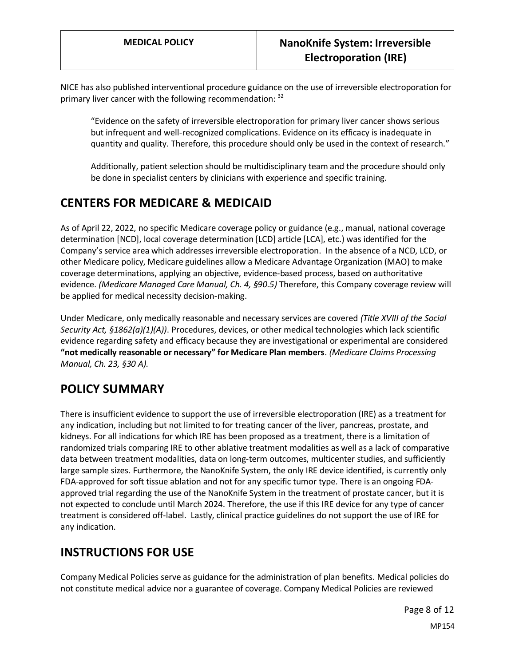NICE has also published interventional procedure guidance on the use of irreversible electroporation for primary liver cancer with the following recommendation:  $32$ 

"Evidence on the safety of irreversible electroporation for primary liver cancer shows serious but infrequent and well-recognized complications. Evidence on its efficacy is inadequate in quantity and quality. Therefore, this procedure should only be used in the context of research."

Additionally, patient selection should be multidisciplinary team and the procedure should only be done in specialist centers by clinicians with experience and specific training.

## **CENTERS FOR MEDICARE & MEDICAID**

<span id="page-7-0"></span>As of April 22, 2022, no specific Medicare coverage policy or guidance (e.g., manual, national coverage determination [NCD], local coverage determination [LCD] article [LCA], etc.) was identified for the Company's service area which addresses irreversible electroporation. In the absence of a NCD, LCD, or other Medicare policy, Medicare guidelines allow a Medicare Advantage Organization (MAO) to make coverage determinations, applying an objective, evidence-based process, based on authoritative evidence. *(Medicare Managed Care Manual, Ch. 4, §90.5)* Therefore, this Company coverage review will be applied for medical necessity decision-making.

Under Medicare, only medically reasonable and necessary services are covered *(Title XVIII of the Social Security Act, §1862(a)(1)(A))*. Procedures, devices, or other medical technologies which lack scientific evidence regarding safety and efficacy because they are investigational or experimental are considered **"not medically reasonable or necessary" for Medicare Plan members**. *(Medicare Claims Processing Manual, Ch. 23, §30 A).*

## <span id="page-7-1"></span>**POLICY SUMMARY**

There is insufficient evidence to support the use of irreversible electroporation (IRE) as a treatment for any indication, including but not limited to for treating cancer of the liver, pancreas, prostate, and kidneys. For all indications for which IRE has been proposed as a treatment, there is a limitation of randomized trials comparing IRE to other ablative treatment modalities as well as a lack of comparative data between treatment modalities, data on long-term outcomes, multicenter studies, and sufficiently large sample sizes. Furthermore, the NanoKnife System, the only IRE device identified, is currently only FDA-approved for soft tissue ablation and not for any specific tumor type. There is an ongoing FDAapproved trial regarding the use of the NanoKnife System in the treatment of prostate cancer, but it is not expected to conclude until March 2024. Therefore, the use if this IRE device for any type of cancer treatment is considered off-label. Lastly, clinical practice guidelines do not support the use of IRE for any indication.

# **INSTRUCTIONS FOR USE**

Company Medical Policies serve as guidance for the administration of plan benefits. Medical policies do not constitute medical advice nor a guarantee of coverage. Company Medical Policies are reviewed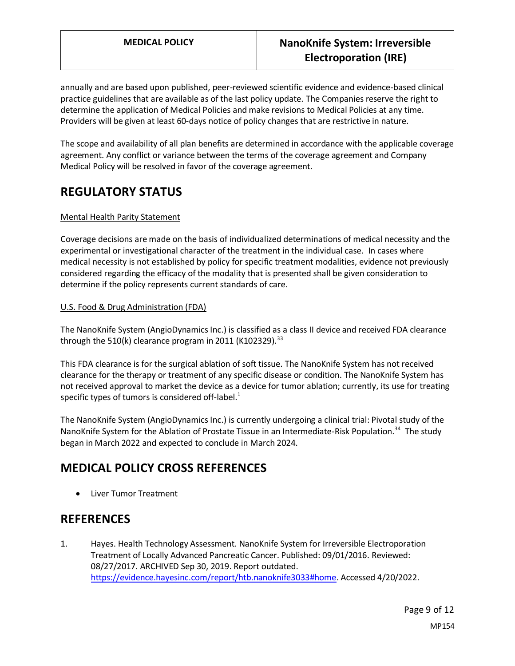annually and are based upon published, peer-reviewed scientific evidence and evidence-based clinical practice guidelines that are available as of the last policy update. The Companies reserve the right to determine the application of Medical Policies and make revisions to Medical Policies at any time. Providers will be given at least 60-days notice of policy changes that are restrictive in nature.

The scope and availability of all plan benefits are determined in accordance with the applicable coverage agreement. Any conflict or variance between the terms of the coverage agreement and Company Medical Policy will be resolved in favor of the coverage agreement.

## **REGULATORY STATUS**

### Mental Health Parity Statement

Coverage decisions are made on the basis of individualized determinations of medical necessity and the experimental or investigational character of the treatment in the individual case. In cases where medical necessity is not established by policy for specific treatment modalities, evidence not previously considered regarding the efficacy of the modality that is presented shall be given consideration to determine if the policy represents current standards of care.

### U.S. Food & Drug Administration (FDA)

The NanoKnife System (AngioDynamics Inc.) is classified as a class II device and received FDA clearance through the 510(k) clearance program in 2011 (K102329).<sup>33</sup>

This FDA clearance is for the surgical ablation of soft tissue. The NanoKnife System has not received clearance for the therapy or treatment of any specific disease or condition. The NanoKnife System has not received approval to market the device as a device for tumor ablation; currently, its use for treating specific types of tumors is considered off-label. $<sup>1</sup>$ </sup>

The NanoKnife System (AngioDynamics Inc.) is currently undergoing a clinical trial: Pivotal study of the NanoKnife System for the Ablation of Prostate Tissue in an Intermediate-Risk Population.<sup>34</sup> The study began in March 2022 and expected to conclude in March 2024.

# **MEDICAL POLICY CROSS REFERENCES**

• Liver Tumor Treatment

### **REFERENCES**

1. Hayes. Health Technology Assessment. NanoKnife System for Irreversible Electroporation Treatment of Locally Advanced Pancreatic Cancer. Published: 09/01/2016. Reviewed: 08/27/2017. ARCHIVED Sep 30, 2019. Report outdated. [https://evidence.hayesinc.com/report/htb.nanoknife3033#home.](https://evidence.hayesinc.com/report/htb.nanoknife3033#home) Accessed 4/20/2022.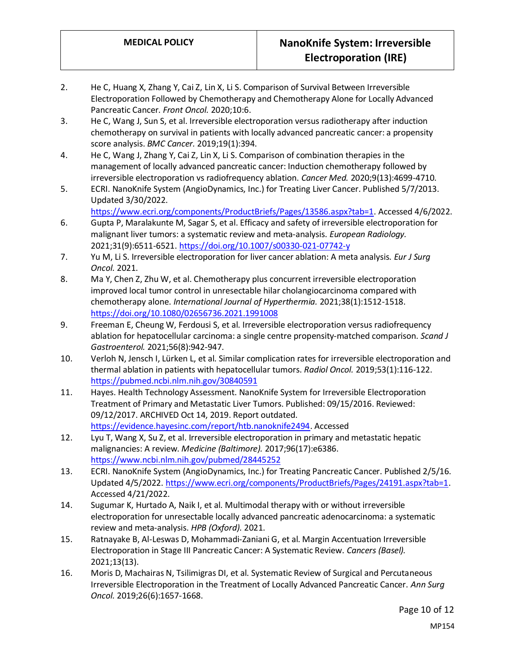- 2. He C, Huang X, Zhang Y, Cai Z, Lin X, Li S. Comparison of Survival Between Irreversible Electroporation Followed by Chemotherapy and Chemotherapy Alone for Locally Advanced Pancreatic Cancer. *Front Oncol.* 2020;10:6.
- 3. He C, Wang J, Sun S, et al. Irreversible electroporation versus radiotherapy after induction chemotherapy on survival in patients with locally advanced pancreatic cancer: a propensity score analysis. *BMC Cancer.* 2019;19(1):394.
- 4. He C, Wang J, Zhang Y, Cai Z, Lin X, Li S. Comparison of combination therapies in the management of locally advanced pancreatic cancer: Induction chemotherapy followed by irreversible electroporation vs radiofrequency ablation. *Cancer Med.* 2020;9(13):4699-4710.
- 5. ECRI. NanoKnife System (AngioDynamics, Inc.) for Treating Liver Cancer. Published 5/7/2013. Updated 3/30/2022.
	- [https://www.ecri.org/components/ProductBriefs/Pages/13586.aspx?tab=1.](https://www.ecri.org/components/ProductBriefs/Pages/13586.aspx?tab=1) Accessed 4/6/2022.
- 6. Gupta P, Maralakunte M, Sagar S, et al. Efficacy and safety of irreversible electroporation for malignant liver tumors: a systematic review and meta-analysis. *European Radiology.*  2021;31(9):6511-6521.<https://doi.org/10.1007/s00330-021-07742-y>
- 7. Yu M, Li S. Irreversible electroporation for liver cancer ablation: A meta analysis. *Eur J Surg Oncol.* 2021.
- 8. Ma Y, Chen Z, Zhu W, et al. Chemotherapy plus concurrent irreversible electroporation improved local tumor control in unresectable hilar cholangiocarcinoma compared with chemotherapy alone. *International Journal of Hyperthermia.* 2021;38(1):1512-1518. <https://doi.org/10.1080/02656736.2021.1991008>
- 9. Freeman E, Cheung W, Ferdousi S, et al. Irreversible electroporation versus radiofrequency ablation for hepatocellular carcinoma: a single centre propensity-matched comparison. *Scand J Gastroenterol.* 2021;56(8):942-947.
- 10. Verloh N, Jensch I, Lürken L, et al. Similar complication rates for irreversible electroporation and thermal ablation in patients with hepatocellular tumors. *Radiol Oncol.* 2019;53(1):116-122. <https://pubmed.ncbi.nlm.nih.gov/30840591>
- 11. Hayes. Health Technology Assessment. NanoKnife System for Irreversible Electroporation Treatment of Primary and Metastatic Liver Tumors. Published: 09/15/2016. Reviewed: 09/12/2017. ARCHIVED Oct 14, 2019. Report outdated. [https://evidence.hayesinc.com/report/htb.nanoknife2494.](https://evidence.hayesinc.com/report/htb.nanoknife2494) Accessed
- 12. Lyu T, Wang X, Su Z, et al. Irreversible electroporation in primary and metastatic hepatic malignancies: A review. *Medicine (Baltimore).* 2017;96(17):e6386. <https://www.ncbi.nlm.nih.gov/pubmed/28445252>
- 13. ECRI. NanoKnife System (AngioDynamics, Inc.) for Treating Pancreatic Cancer. Published 2/5/16. Updated 4/5/2022[. https://www.ecri.org/components/ProductBriefs/Pages/24191.aspx?tab=1.](https://www.ecri.org/components/ProductBriefs/Pages/24191.aspx?tab=1) Accessed 4/21/2022.
- 14. Sugumar K, Hurtado A, Naik I, et al. Multimodal therapy with or without irreversible electroporation for unresectable locally advanced pancreatic adenocarcinoma: a systematic review and meta-analysis. *HPB (Oxford).* 2021.
- 15. Ratnayake B, Al-Leswas D, Mohammadi-Zaniani G, et al. Margin Accentuation Irreversible Electroporation in Stage III Pancreatic Cancer: A Systematic Review. *Cancers (Basel).*  2021;13(13).
- 16. Moris D, Machairas N, Tsilimigras DI, et al. Systematic Review of Surgical and Percutaneous Irreversible Electroporation in the Treatment of Locally Advanced Pancreatic Cancer. *Ann Surg Oncol.* 2019;26(6):1657-1668.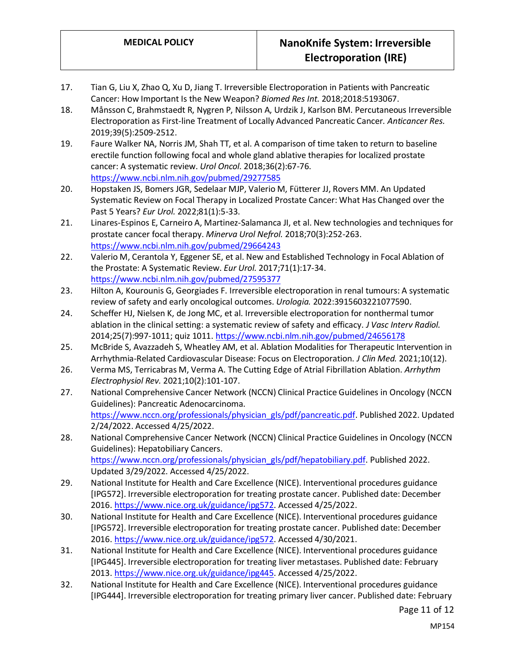- 17. Tian G, Liu X, Zhao Q, Xu D, Jiang T. Irreversible Electroporation in Patients with Pancreatic Cancer: How Important Is the New Weapon? *Biomed Res Int.* 2018;2018:5193067.
- 18. Månsson C, Brahmstaedt R, Nygren P, Nilsson A, Urdzik J, Karlson BM. Percutaneous Irreversible Electroporation as First-line Treatment of Locally Advanced Pancreatic Cancer. *Anticancer Res.*  2019;39(5):2509-2512.
- 19. Faure Walker NA, Norris JM, Shah TT, et al. A comparison of time taken to return to baseline erectile function following focal and whole gland ablative therapies for localized prostate cancer: A systematic review. *Urol Oncol.* 2018;36(2):67-76. <https://www.ncbi.nlm.nih.gov/pubmed/29277585>
- 20. Hopstaken JS, Bomers JGR, Sedelaar MJP, Valerio M, Fütterer JJ, Rovers MM. An Updated Systematic Review on Focal Therapy in Localized Prostate Cancer: What Has Changed over the Past 5 Years? *Eur Urol.* 2022;81(1):5-33.
- 21. Linares-Espinos E, Carneiro A, Martinez-Salamanca JI, et al. New technologies and techniques for prostate cancer focal therapy. *Minerva Urol Nefrol.* 2018;70(3):252-263. <https://www.ncbi.nlm.nih.gov/pubmed/29664243>
- 22. Valerio M, Cerantola Y, Eggener SE, et al. New and Established Technology in Focal Ablation of the Prostate: A Systematic Review. *Eur Urol.* 2017;71(1):17-34. <https://www.ncbi.nlm.nih.gov/pubmed/27595377>
- 23. Hilton A, Kourounis G, Georgiades F. Irreversible electroporation in renal tumours: A systematic review of safety and early oncological outcomes. *Urologia.* 2022:3915603221077590.
- 24. Scheffer HJ, Nielsen K, de Jong MC, et al. Irreversible electroporation for nonthermal tumor ablation in the clinical setting: a systematic review of safety and efficacy. *J Vasc Interv Radiol.*  2014;25(7):997-1011; quiz 1011.<https://www.ncbi.nlm.nih.gov/pubmed/24656178>
- 25. McBride S, Avazzadeh S, Wheatley AM, et al. Ablation Modalities for Therapeutic Intervention in Arrhythmia-Related Cardiovascular Disease: Focus on Electroporation. *J Clin Med.* 2021;10(12).
- 26. Verma MS, Terricabras M, Verma A. The Cutting Edge of Atrial Fibrillation Ablation. *Arrhythm Electrophysiol Rev.* 2021;10(2):101-107.
- 27. National Comprehensive Cancer Network (NCCN) Clinical Practice Guidelines in Oncology (NCCN Guidelines): Pancreatic Adenocarcinoma. [https://www.nccn.org/professionals/physician\\_gls/pdf/pancreatic.pdf.](https://www.nccn.org/professionals/physician_gls/pdf/pancreatic.pdf) Published 2022. Updated 2/24/2022. Accessed 4/25/2022.
- 28. National Comprehensive Cancer Network (NCCN) Clinical Practice Guidelines in Oncology (NCCN Guidelines): Hepatobiliary Cancers. [https://www.nccn.org/professionals/physician\\_gls/pdf/hepatobiliary.pdf.](https://www.nccn.org/professionals/physician_gls/pdf/hepatobiliary.pdf) Published 2022. Updated 3/29/2022. Accessed 4/25/2022.
- 29. National Institute for Health and Care Excellence (NICE). Interventional procedures guidance [IPG572]. Irreversible electroporation for treating prostate cancer. Published date: December 2016[. https://www.nice.org.uk/guidance/ipg572.](https://www.nice.org.uk/guidance/ipg572) Accessed 4/25/2022.
- 30. National Institute for Health and Care Excellence (NICE). Interventional procedures guidance [IPG572]. Irreversible electroporation for treating prostate cancer. Published date: December 2016[. https://www.nice.org.uk/guidance/ipg572.](https://www.nice.org.uk/guidance/ipg572) Accessed 4/30/2021.
- 31. National Institute for Health and Care Excellence (NICE). Interventional procedures guidance [IPG445]. Irreversible electroporation for treating liver metastases. Published date: February 2013[. https://www.nice.org.uk/guidance/ipg445.](https://www.nice.org.uk/guidance/ipg445) Accessed 4/25/2022.
- 32. National Institute for Health and Care Excellence (NICE). Interventional procedures guidance [IPG444]. Irreversible electroporation for treating primary liver cancer. Published date: February